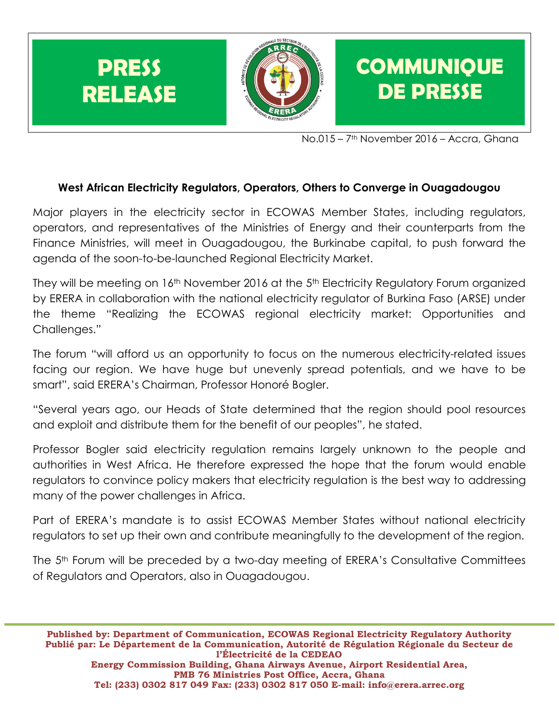

No.015 – 7th November 2016 – Accra, Ghana

## **West African Electricity Regulators, Operators, Others to Converge in Ouagadougou**

Major players in the electricity sector in ECOWAS Member States, including regulators, operators, and representatives of the Ministries of Energy and their counterparts from the Finance Ministries, will meet in Ouagadougou, the Burkinabe capital, to push forward the agenda of the soon-to-be-launched Regional Electricity Market.

They will be meeting on 16<sup>th</sup> November 2016 at the 5<sup>th</sup> Electricity Regulatory Forum organized by ERERA in collaboration with the national electricity regulator of Burkina Faso (ARSE) under the theme "Realizing the ECOWAS regional electricity market: Opportunities and Challenges."

The forum "will afford us an opportunity to focus on the numerous electricity-related issues facing our region. We have huge but unevenly spread potentials, and we have to be smart", said ERERA's Chairman, Professor Honoré Bogler.

"Several years ago, our Heads of State determined that the region should pool resources and exploit and distribute them for the benefit of our peoples", he stated.

Professor Bogler said electricity regulation remains largely unknown to the people and authorities in West Africa. He therefore expressed the hope that the forum would enable regulators to convince policy makers that electricity regulation is the best way to addressing many of the power challenges in Africa.

Part of ERERA's mandate is to assist ECOWAS Member States without national electricity regulators to set up their own and contribute meaningfully to the development of the region.

The 5th Forum will be preceded by a two-day meeting of ERERA's Consultative Committees of Regulators and Operators, also in Ouagadougou.

**Published by: Department of Communication, ECOWAS Regional Electricity Regulatory Authority Publié par: Le Département de la Communication, Autorité de Régulation Régionale du Secteur de l'Électricité de la CEDEAO Energy Commission Building, Ghana Airways Avenue, Airport Residential Area, PMB 76 Ministries Post Office, Accra, Ghana Tel: (233) 0302 817 049 Fax: (233) 0302 817 050 E-mail: info@erera.arrec.org**